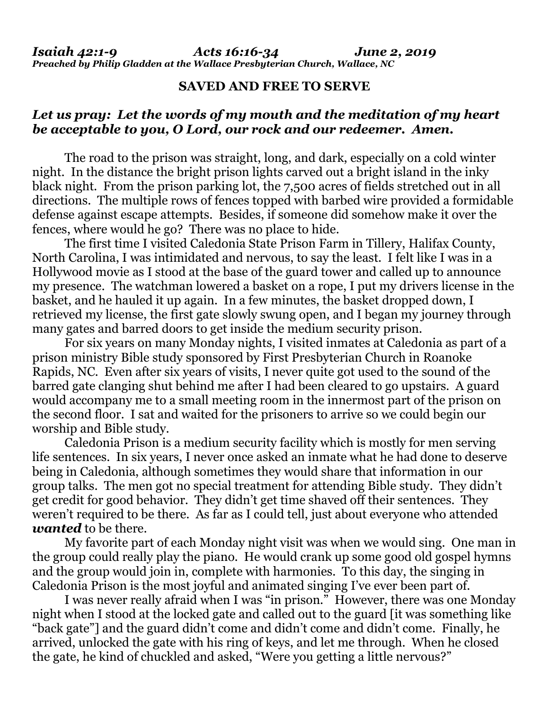## **SAVED AND FREE TO SERVE**

## *Let us pray: Let the words of my mouth and the meditation of my heart be acceptable to you, O Lord, our rock and our redeemer. Amen.*

The road to the prison was straight, long, and dark, especially on a cold winter night. In the distance the bright prison lights carved out a bright island in the inky black night. From the prison parking lot, the 7,500 acres of fields stretched out in all directions. The multiple rows of fences topped with barbed wire provided a formidable defense against escape attempts. Besides, if someone did somehow make it over the fences, where would he go? There was no place to hide.

The first time I visited Caledonia State Prison Farm in Tillery, Halifax County, North Carolina, I was intimidated and nervous, to say the least. I felt like I was in a Hollywood movie as I stood at the base of the guard tower and called up to announce my presence. The watchman lowered a basket on a rope, I put my drivers license in the basket, and he hauled it up again. In a few minutes, the basket dropped down, I retrieved my license, the first gate slowly swung open, and I began my journey through many gates and barred doors to get inside the medium security prison.

For six years on many Monday nights, I visited inmates at Caledonia as part of a prison ministry Bible study sponsored by First Presbyterian Church in Roanoke Rapids, NC. Even after six years of visits, I never quite got used to the sound of the barred gate clanging shut behind me after I had been cleared to go upstairs. A guard would accompany me to a small meeting room in the innermost part of the prison on the second floor. I sat and waited for the prisoners to arrive so we could begin our worship and Bible study.

Caledonia Prison is a medium security facility which is mostly for men serving life sentences. In six years, I never once asked an inmate what he had done to deserve being in Caledonia, although sometimes they would share that information in our group talks. The men got no special treatment for attending Bible study. They didn't get credit for good behavior. They didn't get time shaved off their sentences. They weren't required to be there. As far as I could tell, just about everyone who attended *wanted* to be there.

My favorite part of each Monday night visit was when we would sing. One man in the group could really play the piano. He would crank up some good old gospel hymns and the group would join in, complete with harmonies. To this day, the singing in Caledonia Prison is the most joyful and animated singing I've ever been part of.

I was never really afraid when I was "in prison." However, there was one Monday night when I stood at the locked gate and called out to the guard [it was something like "back gate"] and the guard didn't come and didn't come and didn't come. Finally, he arrived, unlocked the gate with his ring of keys, and let me through. When he closed the gate, he kind of chuckled and asked, "Were you getting a little nervous?"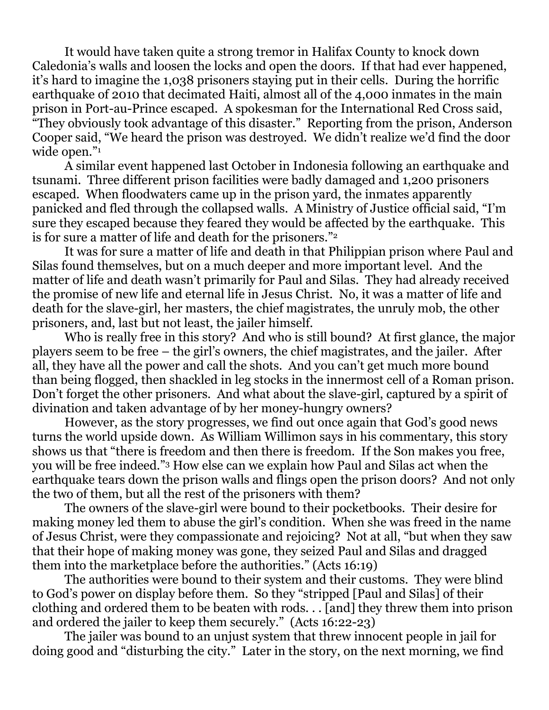It would have taken quite a strong tremor in Halifax County to knock down Caledonia's walls and loosen the locks and open the doors. If that had ever happened, it's hard to imagine the 1,038 prisoners staying put in their cells. During the horrific earthquake of 2010 that decimated Haiti, almost all of the 4,000 inmates in the main prison in Port-au-Prince escaped. A spokesman for the International Red Cross said, "They obviously took advantage of this disaster." Reporting from the prison, Anderson Cooper said, "We heard the prison was destroyed. We didn't realize we'd find the door wide open."<sup>1</sup>

A similar event happened last October in Indonesia following an earthquake and tsunami. Three different prison facilities were badly damaged and 1,200 prisoners escaped. When floodwaters came up in the prison yard, the inmates apparently panicked and fled through the collapsed walls. A Ministry of Justice official said, "I'm sure they escaped because they feared they would be affected by the earthquake. This is for sure a matter of life and death for the prisoners."<sup>2</sup>

It was for sure a matter of life and death in that Philippian prison where Paul and Silas found themselves, but on a much deeper and more important level. And the matter of life and death wasn't primarily for Paul and Silas. They had already received the promise of new life and eternal life in Jesus Christ. No, it was a matter of life and death for the slave-girl, her masters, the chief magistrates, the unruly mob, the other prisoners, and, last but not least, the jailer himself.

Who is really free in this story? And who is still bound? At first glance, the major players seem to be free – the girl's owners, the chief magistrates, and the jailer. After all, they have all the power and call the shots. And you can't get much more bound than being flogged, then shackled in leg stocks in the innermost cell of a Roman prison. Don't forget the other prisoners. And what about the slave-girl, captured by a spirit of divination and taken advantage of by her money-hungry owners?

However, as the story progresses, we find out once again that God's good news turns the world upside down. As William Willimon says in his commentary, this story shows us that "there is freedom and then there is freedom. If the Son makes you free, you will be free indeed."<sup>3</sup> How else can we explain how Paul and Silas act when the earthquake tears down the prison walls and flings open the prison doors? And not only the two of them, but all the rest of the prisoners with them?

The owners of the slave-girl were bound to their pocketbooks. Their desire for making money led them to abuse the girl's condition. When she was freed in the name of Jesus Christ, were they compassionate and rejoicing? Not at all, "but when they saw that their hope of making money was gone, they seized Paul and Silas and dragged them into the marketplace before the authorities." (Acts 16:19)

The authorities were bound to their system and their customs. They were blind to God's power on display before them. So they "stripped [Paul and Silas] of their clothing and ordered them to be beaten with rods. . . [and] they threw them into prison and ordered the jailer to keep them securely." (Acts 16:22-23)

The jailer was bound to an unjust system that threw innocent people in jail for doing good and "disturbing the city." Later in the story, on the next morning, we find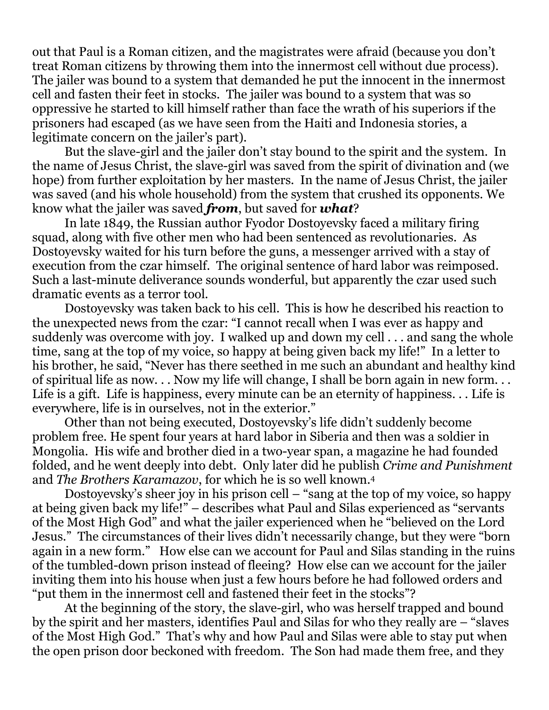out that Paul is a Roman citizen, and the magistrates were afraid (because you don't treat Roman citizens by throwing them into the innermost cell without due process). The jailer was bound to a system that demanded he put the innocent in the innermost cell and fasten their feet in stocks. The jailer was bound to a system that was so oppressive he started to kill himself rather than face the wrath of his superiors if the prisoners had escaped (as we have seen from the Haiti and Indonesia stories, a legitimate concern on the jailer's part).

But the slave-girl and the jailer don't stay bound to the spirit and the system. In the name of Jesus Christ, the slave-girl was saved from the spirit of divination and (we hope) from further exploitation by her masters. In the name of Jesus Christ, the jailer was saved (and his whole household) from the system that crushed its opponents. We know what the jailer was saved *from*, but saved for *what*?

In late 1849, the Russian author Fyodor Dostoyevsky faced a military firing squad, along with five other men who had been sentenced as revolutionaries. As Dostoyevsky waited for his turn before the guns, a messenger arrived with a stay of execution from the czar himself. The original sentence of hard labor was reimposed. Such a last-minute deliverance sounds wonderful, but apparently the czar used such dramatic events as a terror tool.

Dostoyevsky was taken back to his cell. This is how he described his reaction to the unexpected news from the czar: "I cannot recall when I was ever as happy and suddenly was overcome with joy. I walked up and down my cell . . . and sang the whole time, sang at the top of my voice, so happy at being given back my life!" In a letter to his brother, he said, "Never has there seethed in me such an abundant and healthy kind of spiritual life as now. . . Now my life will change, I shall be born again in new form. . . Life is a gift. Life is happiness, every minute can be an eternity of happiness. . . Life is everywhere, life is in ourselves, not in the exterior."

Other than not being executed, Dostoyevsky's life didn't suddenly become problem free. He spent four years at hard labor in Siberia and then was a soldier in Mongolia. His wife and brother died in a two-year span, a magazine he had founded folded, and he went deeply into debt. Only later did he publish *Crime and Punishment* and *The Brothers Karamazov*, for which he is so well known.<sup>4</sup>

Dostoyevsky's sheer joy in his prison cell – "sang at the top of my voice, so happy at being given back my life!" – describes what Paul and Silas experienced as "servants of the Most High God" and what the jailer experienced when he "believed on the Lord Jesus." The circumstances of their lives didn't necessarily change, but they were "born again in a new form." How else can we account for Paul and Silas standing in the ruins of the tumbled-down prison instead of fleeing? How else can we account for the jailer inviting them into his house when just a few hours before he had followed orders and "put them in the innermost cell and fastened their feet in the stocks"?

At the beginning of the story, the slave-girl, who was herself trapped and bound by the spirit and her masters, identifies Paul and Silas for who they really are – "slaves of the Most High God." That's why and how Paul and Silas were able to stay put when the open prison door beckoned with freedom. The Son had made them free, and they